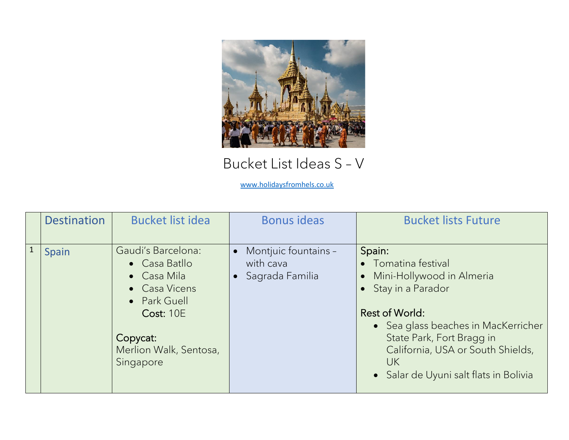

## Bucket List Ideas S – V

[www.holidaysfromhels.co.uk](http://www.holidaysfromhels.co.uk/)

|              | <b>Destination</b> | <b>Bucket list idea</b>                                                                                                                                    | <b>Bonus ideas</b>                                       | <b>Bucket lists Future</b>                                                                                                                                                                                                                                            |
|--------------|--------------------|------------------------------------------------------------------------------------------------------------------------------------------------------------|----------------------------------------------------------|-----------------------------------------------------------------------------------------------------------------------------------------------------------------------------------------------------------------------------------------------------------------------|
| $\mathbf{1}$ | Spain              | Gaudi's Barcelona:<br>• Casa Batllo<br>• Casa Mila<br>• Casa Vicens<br>• Park Guell<br><b>Cost: 10E</b><br>Copycat:<br>Merlion Walk, Sentosa,<br>Singapore | • Montjuic fountains -<br>with cava<br>• Sagrada Familia | Spain:<br>• Tomatina festival<br>• Mini-Hollywood in Almeria<br>• Stay in a Parador<br><b>Rest of World:</b><br>• Sea glass beaches in MacKerricher<br>State Park, Fort Bragg in<br>California, USA or South Shields,<br>UK<br>• Salar de Uyuni salt flats in Bolivia |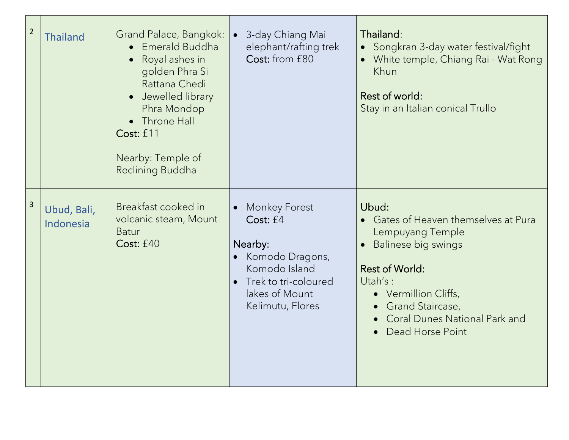| $\overline{2}$ | <b>Thailand</b>          | Grand Palace, Bangkok:<br>Emerald Buddha<br>Royal ashes in<br>$\bullet$<br>golden Phra Si<br>Rattana Chedi<br>Jewelled library<br>Phra Mondop<br>• Throne Hall<br>Cost: £11<br>Nearby: Temple of<br>Reclining Buddha | • 3-day Chiang Mai<br>elephant/rafting trek<br>Cost: from £80                                                                                   | Thailand:<br>• Songkran 3-day water festival/fight<br>White temple, Chiang Rai - Wat Rong<br>Khun<br>Rest of world:<br>Stay in an Italian conical Trullo                                                                             |
|----------------|--------------------------|----------------------------------------------------------------------------------------------------------------------------------------------------------------------------------------------------------------------|-------------------------------------------------------------------------------------------------------------------------------------------------|--------------------------------------------------------------------------------------------------------------------------------------------------------------------------------------------------------------------------------------|
| $\overline{3}$ | Ubud, Bali,<br>Indonesia | Breakfast cooked in<br>volcanic steam, Mount<br><b>Batur</b><br>Cost: £40                                                                                                                                            | <b>Monkey Forest</b><br>Cost: £4<br>Nearby:<br>• Komodo Dragons,<br>Komodo Island<br>Trek to tri-coloured<br>lakes of Mount<br>Kelimutu, Flores | Ubud:<br>• Gates of Heaven themselves at Pura<br>Lempuyang Temple<br>Balinese big swings<br><b>Rest of World:</b><br>Utah's:<br>• Vermillion Cliffs,<br>Grand Staircase,<br><b>Coral Dunes National Park and</b><br>Dead Horse Point |